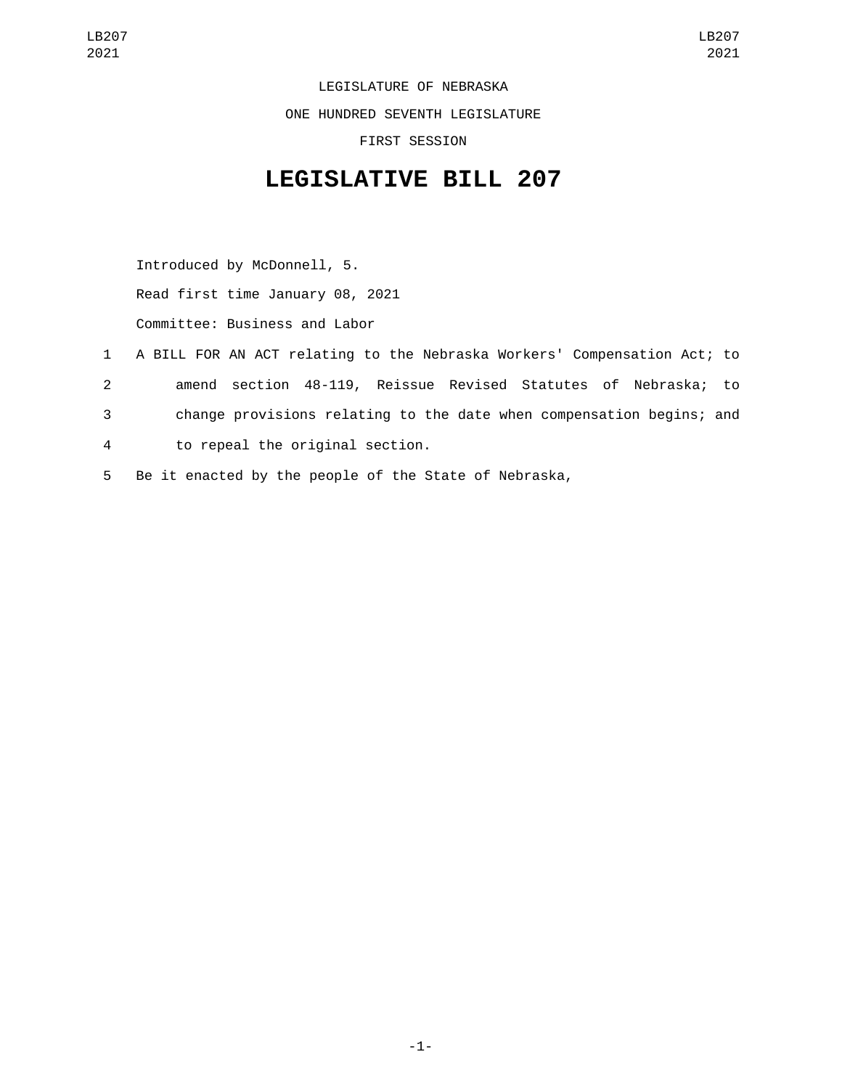LEGISLATURE OF NEBRASKA ONE HUNDRED SEVENTH LEGISLATURE FIRST SESSION

## **LEGISLATIVE BILL 207**

Introduced by McDonnell, 5. Read first time January 08, 2021 Committee: Business and Labor

 A BILL FOR AN ACT relating to the Nebraska Workers' Compensation Act; to amend section 48-119, Reissue Revised Statutes of Nebraska; to change provisions relating to the date when compensation begins; and to repeal the original section.4 Be it enacted by the people of the State of Nebraska,